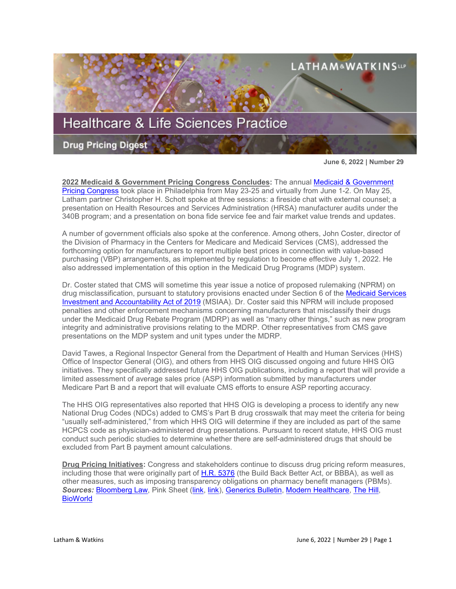

**June 6, 2022 | Number 29**

**2022 Medicaid & Government Pricing Congress Concludes:** The annual [Medicaid & Government](https://informaconnect.com/medicaid-government-pricing/)  [Pricing Congress](https://informaconnect.com/medicaid-government-pricing/) took place in Philadelphia from May 23-25 and virtually from June 1-2. On May 25, Latham partner Christopher H. Schott spoke at three sessions: a fireside chat with external counsel; a presentation on Health Resources and Services Administration (HRSA) manufacturer audits under the 340B program; and a presentation on bona fide service fee and fair market value trends and updates.

A number of government officials also spoke at the conference. Among others, John Coster, director of the Division of Pharmacy in the Centers for Medicare and Medicaid Services (CMS), addressed the forthcoming option for manufacturers to report multiple best prices in connection with value-based purchasing (VBP) arrangements, as implemented by regulation to become effective July 1, 2022. He also addressed implementation of this option in the Medicaid Drug Programs (MDP) system.

Dr. Coster stated that CMS will sometime this year issue a notice of proposed rulemaking (NPRM) on drug misclassification, pursuant to statutory provisions enacted under Section 6 of the [Medicaid Services](https://www.congress.gov/bill/116th-congress/house-bill/1839)  [Investment and Accountability Act of 2019](https://www.congress.gov/bill/116th-congress/house-bill/1839) (MSIAA). Dr. Coster said this NPRM will include proposed penalties and other enforcement mechanisms concerning manufacturers that misclassify their drugs under the Medicaid Drug Rebate Program (MDRP) as well as "many other things," such as new program integrity and administrative provisions relating to the MDRP. Other representatives from CMS gave presentations on the MDP system and unit types under the MDRP.

David Tawes, a Regional Inspector General from the Department of Health and Human Services (HHS) Office of Inspector General (OIG), and others from HHS OIG discussed ongoing and future HHS OIG initiatives. They specifically addressed future HHS OIG publications, including a report that will provide a limited assessment of average sales price (ASP) information submitted by manufacturers under Medicare Part B and a report that will evaluate CMS efforts to ensure ASP reporting accuracy.

The HHS OIG representatives also reported that HHS OIG is developing a process to identify any new National Drug Codes (NDCs) added to CMS's Part B drug crosswalk that may meet the criteria for being "usually self-administered," from which HHS OIG will determine if they are included as part of the same HCPCS code as physician-administered drug presentations. Pursuant to recent statute, HHS OIG must conduct such periodic studies to determine whether there are self-administered drugs that should be excluded from Part B payment amount calculations.

**Drug Pricing Initiatives:** Congress and stakeholders continue to discuss drug pricing reform measures, including those that were originally part of [H.R. 5376](https://www.sites.lwcommunicate.com/e/rsuy4ryabtyriig/f831d9cf-6927-4352-a6f9-2b8f768792b1) (the Build Back Better Act, or BBBA), as well as other measures, such as imposing transparency obligations on pharmacy benefit managers (PBMs). *Sources:* [Bloomberg Law,](https://www.bloomberglaw.com/product/blaw/bloomberglawnews/health-law-and-business/BNA%2000000180-f7fe-df33-a1da-f7ff2be70003?bwid=00000180-f7fe-df33-a1da-f7ff2be70003&cti=LFVL&emc=bhlnw_nl%3A6&et=NEWSLETTER&isAlert=false&item=read-text&qid=7297964®ion=digest&source=newsletter&uc=1320011525&udvType=Alert&usertype=External) Pink Sheet [\(link,](https://pink.pharmaintelligence.informa.com/PS146228/FTC-And-PBMs-Support-For-Investigation-Building-But-Outcome-May-Ultimately-Disappoint-Critics) [link\)](https://pink.pharmaintelligence.informa.com/PS146212/Senate-Commerce-Leaders-Want-An-FTC-Study-Into-PBM-Business-Practices--And-More?vid=Pharma&processId=e21fc897-5e8a-49ff-8aad-42c675da3c4f), [Generics Bulletin,](https://generics.pharmaintelligence.informa.com/GB151909/AAM-Calls-For-FTC-Scrutiny-Of-Pharmacy-Benefit-Manager-Practices) [Modern Healthcare,](https://www.modernhealthcare.com/policy/providers-urge-ftc-probe-pbm-practices?utm_campaign=pharmalittle&utm_medium=email&_hsmi=215053205&_hsenc=p2ANqtz-9nsnRAR5sy-aBnykX-uRAuOx-cfpUEENpYR4cbiHANCxsgbgqCYosDK1F8mgdDWVfn78y5vvGdYE6iR2P8Y7uedKE37A&utm_content=215053205&utm_source=hs_email) [The Hill,](https://thehill.com/policy/healthcare/overnights/3507372-health-care-tensions-rise-over-drug-pricing/?utm_campaign=pharmalittle&utm_medium=email&_hsmi=215053205&_hsenc=p2ANqtz--_qnYO8SEEu5QDtWOjjBL9AeA_rozV3UogJ4j8bDsf_fFNwi4W0-HKD_QbSrxto1avK7xSawVmUYYEgt5hPx2_-rUuZQ&utm_content=215053205&utm_source=hs_email) **BioWorld**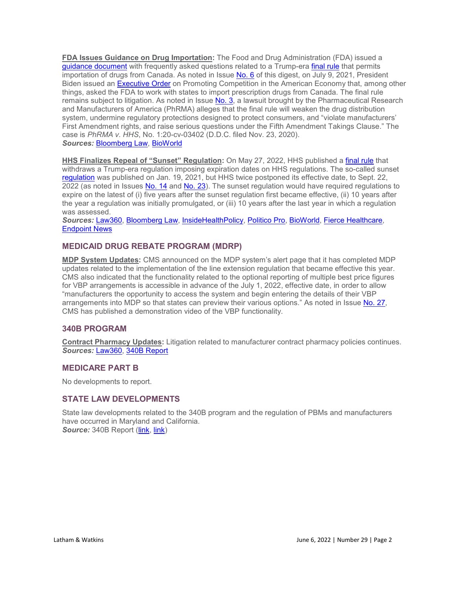**FDA Issues Guidance on Drug Importation:** The Food and Drug Administration (FDA) issued a [guidance document](https://www.fda.gov/media/158659/download) with frequently asked questions related to a Trump-era [final rule](https://www.sites.lwcommunicate.com/e/tn0gz3p0jkkqwjg/327e2c52-8da0-48cd-83f4-06b05dc330fa) that permits importation of drugs from Canada. As noted in Issue [No. 6](https://www.lw.com/thoughtLeadership/healthcare-life-sciences-drug-pricing-digest-number-6) of this digest, on July 9, 2021, President Biden issued an [Executive Order](https://www.sites.lwcommunicate.com/e/geusoch5cfcvaa/18d5e010-1313-41a6-8d77-71da3e4ea1b1) on Promoting Competition in the American Economy that, among other things, asked the FDA to work with states to import prescription drugs from Canada. The final rule remains subject to litigation. As noted in Issue [No. 3,](https://www.lw.com/thoughtLeadership/healthcare-life-sciences-drug-pricing-digest-number-3) a lawsuit brought by the Pharmaceutical Research and Manufacturers of America (PhRMA) alleges that the final rule will weaken the drug distribution system, undermine regulatory protections designed to protect consumers, and "violate manufacturers' First Amendment rights, and raise serious questions under the Fifth Amendment Takings Clause." The case is *PhRMA v. HHS*, No. 1:20-cv-03402 (D.D.C. filed Nov. 23, 2020). *Sources:* [Bloomberg Law,](https://www.bloomberglaw.com/bloomberglawnews/health-law-and-business/X59IVFBC000000?bwid=00000180-fb90-df51-a98e-ff9475260000&cti=LFVL&emc=bhlnw_nl%3A7&et=NEWSLETTER&isAlert=false&item=read-text&qid=7298747®ion=digest&source=newsletter&uc=1320011525&udvType=Alert&usertype=External) [BioWorld](https://www.bioworld.com/articles/519260-us-fda-advises-on-prostate-cancer-drugs-canadian-imports?v=preview) 

**HHS Finalizes Repeal of "Sunset" Regulation:** On May 27, 2022, HHS published a [final rule](https://www.govinfo.gov/content/pkg/FR-2022-05-27/pdf/2022-11477.pdf) that withdraws a Trump-era regulation imposing expiration dates on HHS regulations. The so-called sunset [regulation](https://www.sites.lwcommunicate.com/e/3uimo6ylcgxtiw/ed5e7715-0cd5-40c4-879f-5d48e4d569c8) was published on Jan. 19, 2021, but HHS twice postponed its effective date, to Sept. 22, 2022 (as noted in Issues [No. 14](https://www.lw.com/thoughtLeadership/healthcare-life-sciences-drug-pricing-digest-number-14) and [No. 23\)](https://www.lw.com/thoughtLeadership/healthcare-life-sciences-drug-pricing-digest-number-23). The sunset regulation would have required regulations to expire on the latest of (i) five years after the sunset regulation first became effective, (ii) 10 years after the year a regulation was initially promulgated, or (iii) 10 years after the last year in which a regulation was assessed.

*Sources:* [Law360,](https://www.law360.com/health/articles/1497822/hhs-drops-ticking-time-bomb-sunset-rule-after-suit?nl_pk=efd0bb39-bda0-4dc3-a4fa-7fca45bb788c&utm_source=newsletter&utm_medium=email&utm_campaign=health&utm_content=2022-05-31) [Bloomberg Law,](https://www.bloomberglaw.com/product/blaw/bloomberglawnews/health-law-and-business/BNA%2000000180-23a3-db86-adc8-e3a3c6d10001?bwid=00000180-23a3-db86-adc8-e3a3c6d10001) [InsideHealthPolicy,](https://insidehealthpolicy.com/daily-news/hhs-axes-trump-era-rule-threatened-scores-health-care-regs) [Politico Pro,](https://subscriber.politicopro.com/newsletter/2022/05/27/senate-help-leaders-likely-to-introduce-user-fee-bill-today-00035575) [BioWorld,](https://www.bioworld.com/articles/519206-sun-sets-on-us-hhs-sunset-rule?v=preview) [Fierce Healthcare,](https://www.fiercehealthcare.com/regulatory/hhs-withdraws-controversial-trump-era-sunset-rule-required-review-all-regulations) [Endpoint News](https://endpts.com/hhs-finishes-off-trump-era-rule-that-wouldve-erased-basic-fda-regs-without-frequent-reviews/?utm_campaign=pharmalittle&utm_medium=email&_hsmi=214542495&_hsenc=p2ANqtz-_pysoIbbAIHP5aUBnFpFWC2s_w_Jq7tRgGdPbLHVPtYV2L9yTSntDEKQjvmwVYjj5swPADpaY_BXZAHXjBesewKwqz8g&utm_content=214542495&utm_source=hs_email)

# **MEDICAID DRUG REBATE PROGRAM (MDRP)**

**MDP System Updates:** CMS announced on the MDP system's alert page that it has completed MDP updates related to the implementation of the line extension regulation that became effective this year. CMS also indicated that the functionality related to the optional reporting of multiple best price figures for VBP arrangements is accessible in advance of the July 1, 2022, effective date, in order to allow "manufacturers the opportunity to access the system and begin entering the details of their VBP arrangements into MDP so that states can preview their various options." As noted in Issue [No. 27,](https://www.lw.com/thoughtLeadership/healthcare-life-sciences-drug-pricing-digest-number-27) CMS has published a demonstration video of the VBP functionality.

## **340B PROGRAM**

**Contract Pharmacy Updates:** Litigation related to manufacturer contract pharmacy policies continues. *Sources:* [Law360,](https://www.law360.com/lifesciences/articles/1497371/-profound-stakes-in-drug-discount-suit-eli-lilly-tells-7th-circ-?nl_pk=a57127cb-9729-4523-b556-509f21a7970b&utm_source=newsletter&utm_medium=email&utm_campaign=lifesciences&utm_content=2022-05-27) [340B Report](https://340breport.com/judges-340b-statutory-interpretation-was-exactly-backward-lilly-tells-appeals-court/)

### **MEDICARE PART B**

No developments to report.

### **STATE LAW DEVELOPMENTS**

State law developments related to the 340B program and the regulation of PBMs and manufacturers have occurred in Maryland and California. Source: 340B Report [\(link,](https://340breport.com/in-what-would-be-the-only-second-state-to-enact-such-legislation-calif-senate-votes-to-shield-340b-providers-from-manufacturers-and-pbms-actions/) [link\)](https://340breport.com/maryland-governor-signs-340b-anti-discrimination-bill-into-law/)